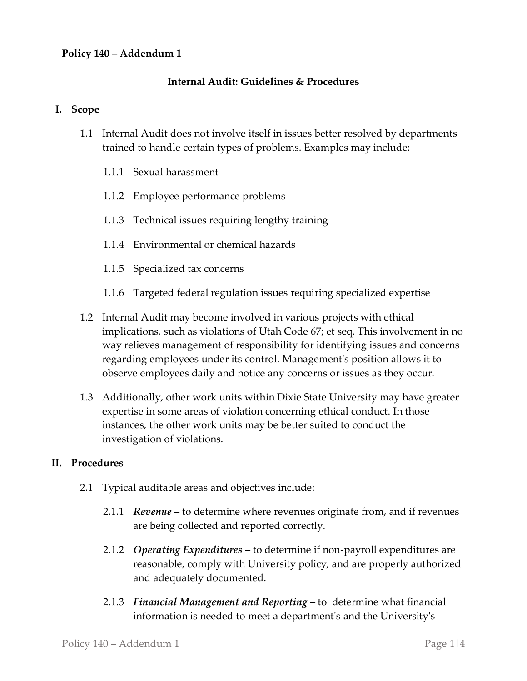# **Policy 140 – Addendum 1**

### **Internal Audit: Guidelines & Procedures**

#### **I. Scope**

- 1.1 Internal Audit does not involve itself in issues better resolved by departments trained to handle certain types of problems. Examples may include:
	- 1.1.1 Sexual harassment
	- 1.1.2 Employee performance problems
	- 1.1.3 Technical issues requiring lengthy training
	- 1.1.4 Environmental or chemical hazards
	- 1.1.5 Specialized tax concerns
	- 1.1.6 Targeted federal regulation issues requiring specialized expertise
- 1.2 Internal Audit may become involved in various projects with ethical implications, such as violations of Utah Code 67; et seq. This involvement in no way relieves management of responsibility for identifying issues and concerns regarding employees under its control. Management's position allows it to observe employees daily and notice any concerns or issues as they occur.
- 1.3 Additionally, other work units within Dixie State University may have greater expertise in some areas of violation concerning ethical conduct. In those instances, the other work units may be better suited to conduct the investigation of violations.

### **II. Procedures**

- 2.1 Typical auditable areas and objectives include:
	- 2.1.1 *Revenue* to determine where revenues originate from, and if revenues are being collected and reported correctly.
	- 2.1.2 *Operating Expenditures* to determine if non-payroll expenditures are reasonable, comply with University policy, and are properly authorized and adequately documented.
	- 2.1.3 *Financial Management and Reporting*  to determine what financial information is needed to meet a department's and the University's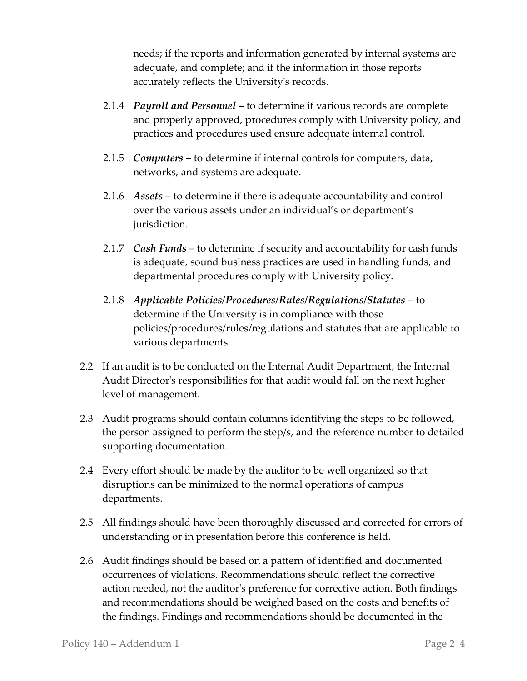needs; if the reports and information generated by internal systems are adequate, and complete; and if the information in those reports accurately reflects the University's records.

- 2.1.4 *Payroll and Personnel* to determine if various records are complete and properly approved, procedures comply with University policy, and practices and procedures used ensure adequate internal control.
- 2.1.5 *Computers* to determine if internal controls for computers, data, networks, and systems are adequate.
- 2.1.6 *Assets* to determine if there is adequate accountability and control over the various assets under an individual's or department's jurisdiction.
- 2.1.7 *Cash Funds*  to determine if security and accountability for cash funds is adequate, sound business practices are used in handling funds, and departmental procedures comply with University policy.
- 2.1.8 *Applicable Policies/Procedures/Rules/Regulations/Statutes* to determine if the University is in compliance with those policies/procedures/rules/regulations and statutes that are applicable to various departments.
- 2.2 If an audit is to be conducted on the Internal Audit Department, the Internal Audit Director's responsibilities for that audit would fall on the next higher level of management.
- 2.3 Audit programs should contain columns identifying the steps to be followed, the person assigned to perform the step/s, and the reference number to detailed supporting documentation.
- 2.4 Every effort should be made by the auditor to be well organized so that disruptions can be minimized to the normal operations of campus departments.
- 2.5 All findings should have been thoroughly discussed and corrected for errors of understanding or in presentation before this conference is held.
- 2.6 Audit findings should be based on a pattern of identified and documented occurrences of violations. Recommendations should reflect the corrective action needed, not the auditor's preference for corrective action. Both findings and recommendations should be weighed based on the costs and benefits of the findings. Findings and recommendations should be documented in the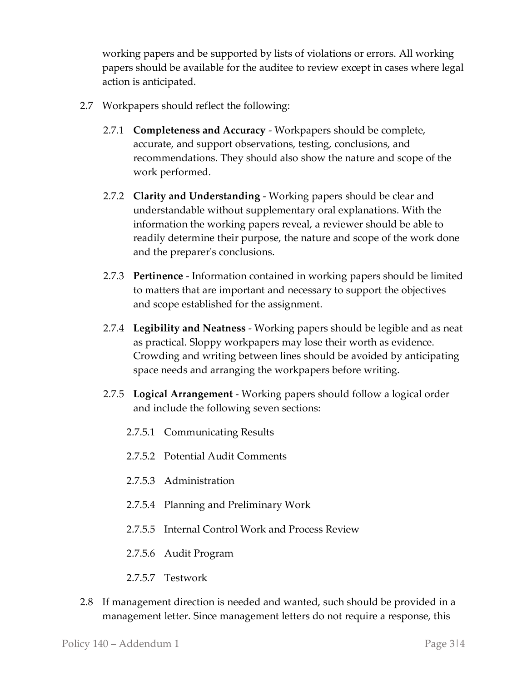working papers and be supported by lists of violations or errors. All working papers should be available for the auditee to review except in cases where legal action is anticipated.

- 2.7 Workpapers should reflect the following:
	- 2.7.1 **Completeness and Accuracy** Workpapers should be complete, accurate, and support observations, testing, conclusions, and recommendations. They should also show the nature and scope of the work performed.
	- 2.7.2 **Clarity and Understanding** Working papers should be clear and understandable without supplementary oral explanations. With the information the working papers reveal, a reviewer should be able to readily determine their purpose, the nature and scope of the work done and the preparer's conclusions.
	- 2.7.3 **Pertinence** Information contained in working papers should be limited to matters that are important and necessary to support the objectives and scope established for the assignment.
	- 2.7.4 **Legibility and Neatness** Working papers should be legible and as neat as practical. Sloppy workpapers may lose their worth as evidence. Crowding and writing between lines should be avoided by anticipating space needs and arranging the workpapers before writing.
	- 2.7.5 **Logical Arrangement** Working papers should follow a logical order and include the following seven sections:
		- 2.7.5.1 Communicating Results
		- 2.7.5.2 Potential Audit Comments
		- 2.7.5.3 Administration
		- 2.7.5.4 Planning and Preliminary Work
		- 2.7.5.5 Internal Control Work and Process Review
		- 2.7.5.6 Audit Program
		- 2.7.5.7 Testwork
- 2.8 If management direction is needed and wanted, such should be provided in a management letter. Since management letters do not require a response, this